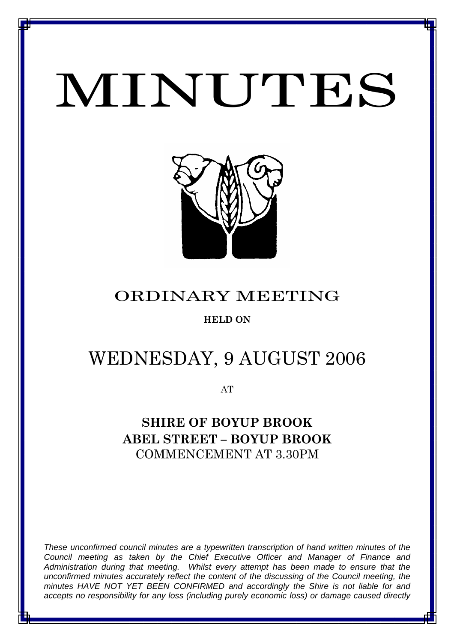# MINUTES

*MINUTES OF THE ORDINARY MEETING OF COUNCIL HELD ON WEDNESDAY 9 AUGUST 2006*



# ORDINARY MEETING

## **HELD ON**

# WEDNESDAY, 9 AUGUST 2006

AT

# **SHIRE OF BOYUP BROOK ABEL STREET – BOYUP BROOK** COMMENCEMENT AT 3.30PM

*These unconfirmed council minutes are a typewritten transcription of hand written minutes of the Council meeting as taken by the Chief Executive Officer and Manager of Finance and Administration during that meeting. Whilst every attempt has been made to ensure that the unconfirmed minutes accurately reflect the content of the discussing of the Council meeting, the minutes HAVE NOT YET BEEN CONFIRMED and accordingly the Shire is not liable for and accepts no responsibility for any loss (including purely economic loss) or damage caused directly* 

1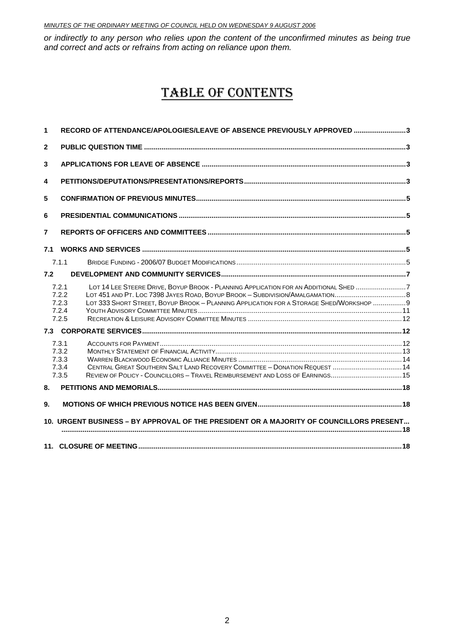*or indirectly to any person who relies upon the content of the unconfirmed minutes as being true and correct and acts or refrains from acting on reliance upon them.*

# TABLE OF CONTENTS

| 1              | RECORD OF ATTENDANCE/APOLOGIES/LEAVE OF ABSENCE PREVIOUSLY APPROVED 3                                                                                                                                                                                                                     |  |
|----------------|-------------------------------------------------------------------------------------------------------------------------------------------------------------------------------------------------------------------------------------------------------------------------------------------|--|
| $\mathbf{2}$   |                                                                                                                                                                                                                                                                                           |  |
| 3              |                                                                                                                                                                                                                                                                                           |  |
| 4              |                                                                                                                                                                                                                                                                                           |  |
| 5              |                                                                                                                                                                                                                                                                                           |  |
| 6              |                                                                                                                                                                                                                                                                                           |  |
| $\overline{7}$ |                                                                                                                                                                                                                                                                                           |  |
| 7.1            |                                                                                                                                                                                                                                                                                           |  |
|                | 7.1.1                                                                                                                                                                                                                                                                                     |  |
| 7.2            |                                                                                                                                                                                                                                                                                           |  |
|                | LOT 14 LEE STEERE DRIVE, BOYUP BROOK - PLANNING APPLICATION FOR AN ADDITIONAL SHED 7<br>7.2.1<br>LOT 451 AND PT. LOC 7398 JAYES ROAD, BOYUP BROOK - SUBDIVISION/AMALGAMATION<br>7.2.2<br>LOT 333 SHORT STREET, BOYUP BROOK - PLANNING APPLICATION FOR A STORAGE SHED/WORKSHOP  9<br>7.2.3 |  |
|                | 7.2.4<br>7.2.5                                                                                                                                                                                                                                                                            |  |
|                |                                                                                                                                                                                                                                                                                           |  |
|                | 7.3.1<br>7.3.2<br>7.3.3<br>CENTRAL GREAT SOUTHERN SALT LAND RECOVERY COMMITTEE - DONATION REQUEST  14<br>7.3.4<br>7.3.5                                                                                                                                                                   |  |
| 8.             |                                                                                                                                                                                                                                                                                           |  |
| 9.             |                                                                                                                                                                                                                                                                                           |  |
|                | 10. URGENT BUSINESS - BY APPROVAL OF THE PRESIDENT OR A MAJORITY OF COUNCILLORS PRESENT                                                                                                                                                                                                   |  |
|                |                                                                                                                                                                                                                                                                                           |  |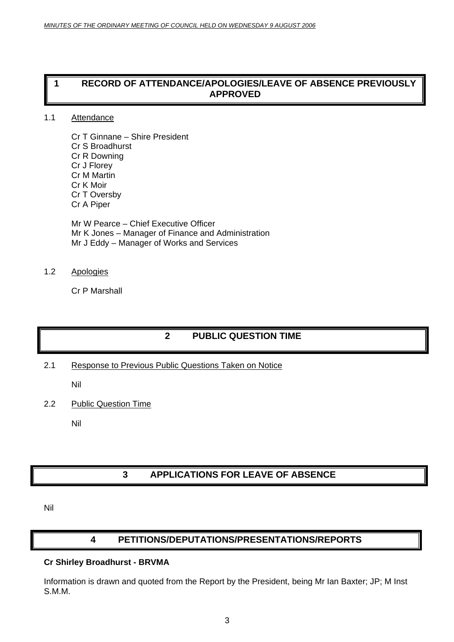#### <span id="page-2-0"></span>**1 RECORD OF ATTENDANCE/APOLOGIES/LEAVE OF ABSENCE PREVIOUSLY APPROVED**

#### 1.1 Attendance

Cr T Ginnane – Shire President Cr S Broadhurst Cr R Downing Cr J Florey Cr M Martin Cr K Moir Cr T Oversby Cr A Piper

Mr W Pearce – Chief Executive Officer Mr K Jones – Manager of Finance and Administration Mr J Eddy – Manager of Works and Services

#### 1.2 Apologies

Cr P Marshall

## **2 PUBLIC QUESTION TIME**

2.1 Response to Previous Public Questions Taken on Notice

Nil

2.2 Public Question Time

Nil

## **3 APPLICATIONS FOR LEAVE OF ABSENCE**

Nil

#### **4 PETITIONS/DEPUTATIONS/PRESENTATIONS/REPORTS**

#### **Cr Shirley Broadhurst - BRVMA**

Information is drawn and quoted from the Report by the President, being Mr Ian Baxter; JP; M Inst S.M.M.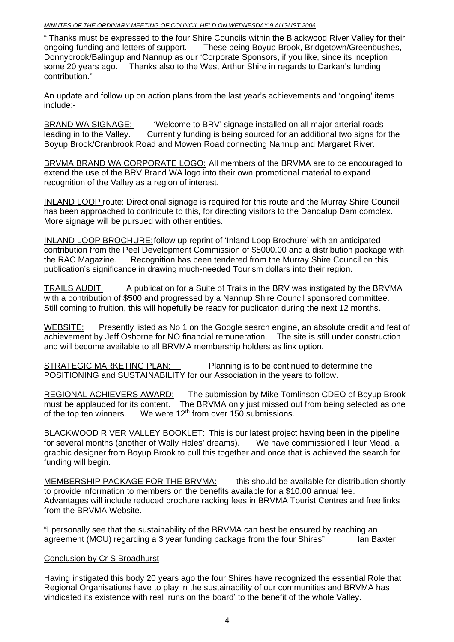" Thanks must be expressed to the four Shire Councils within the Blackwood River Valley for their ongoing funding and letters of support. These being Boyup Brook, Bridgetown/Greenbushes, Donnybrook/Balingup and Nannup as our 'Corporate Sponsors, if you like, since its inception some 20 years ago. Thanks also to the West Arthur Shire in regards to Darkan's funding contribution."

An update and follow up on action plans from the last year's achievements and 'ongoing' items include:-

BRAND WA SIGNAGE: ' 'Welcome to BRV' signage installed on all major arterial roads leading in to the Valley. Currently funding is being sourced for an additional two signs for the Boyup Brook/Cranbrook Road and Mowen Road connecting Nannup and Margaret River.

BRVMA BRAND WA CORPORATE LOGO: All members of the BRVMA are to be encouraged to extend the use of the BRV Brand WA logo into their own promotional material to expand recognition of the Valley as a region of interest.

INLAND LOOP route: Directional signage is required for this route and the Murray Shire Council has been approached to contribute to this, for directing visitors to the Dandalup Dam complex. More signage will be pursued with other entities.

INLAND LOOP BROCHURE:follow up reprint of 'Inland Loop Brochure' with an anticipated contribution from the Peel Development Commission of \$5000.00 and a distribution package with the RAC Magazine. Recognition has been tendered from the Murray Shire Council on this publication's significance in drawing much-needed Tourism dollars into their region.

TRAILS AUDIT: A publication for a Suite of Trails in the BRV was instigated by the BRVMA with a contribution of \$500 and progressed by a Nannup Shire Council sponsored committee. Still coming to fruition, this will hopefully be ready for publicaton during the next 12 months.

WEBSITE: Presently listed as No 1 on the Google search engine, an absolute credit and feat of achievement by Jeff Osborne for NO financial remuneration. The site is still under construction and will become available to all BRVMA membership holders as link option.

STRATEGIC MARKETING PLAN: Planning is to be continued to determine the POSITIONING and SUSTAINABILITY for our Association in the years to follow.

REGIONAL ACHIEVERS AWARD: The submission by Mike Tomlinson CDEO of Boyup Brook must be applauded for its content. The BRVMA only just missed out from being selected as one of the top ten winners. We were  $12<sup>th</sup>$  from over 150 submissions.

BLACKWOOD RIVER VALLEY BOOKLET: This is our latest project having been in the pipeline for several months (another of Wally Hales' dreams). We have commissioned Fleur Mead, a graphic designer from Boyup Brook to pull this together and once that is achieved the search for funding will begin.

MEMBERSHIP PACKAGE FOR THE BRVMA: this should be available for distribution shortly to provide information to members on the benefits available for a \$10.00 annual fee. Advantages will include reduced brochure racking fees in BRVMA Tourist Centres and free links from the BRVMA Website.

"I personally see that the sustainability of the BRVMA can best be ensured by reaching an agreement (MOU) regarding a 3 year funding package from the four Shires" and Baxter

#### Conclusion by Cr S Broadhurst

Having instigated this body 20 years ago the four Shires have recognized the essential Role that Regional Organisations have to play in the sustainability of our communities and BRVMA has vindicated its existence with real 'runs on the board' to the benefit of the whole Valley.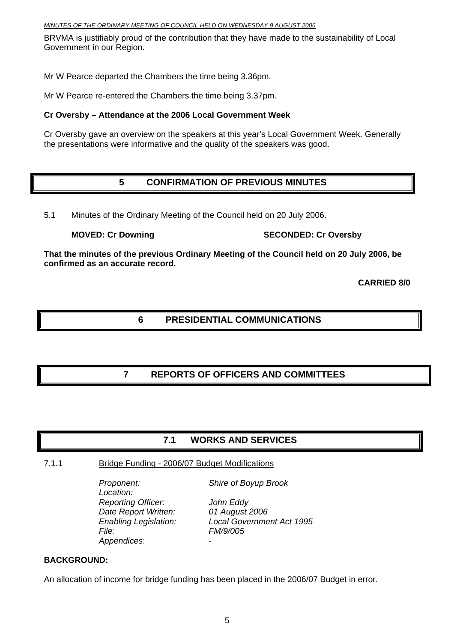<span id="page-4-0"></span>BRVMA is justifiably proud of the contribution that they have made to the sustainability of Local Government in our Region.

Mr W Pearce departed the Chambers the time being 3.36pm.

Mr W Pearce re-entered the Chambers the time being 3.37pm.

#### **Cr Oversby – Attendance at the 2006 Local Government Week**

Cr Oversby gave an overview on the speakers at this year's Local Government Week. Generally the presentations were informative and the quality of the speakers was good.

## **5 CONFIRMATION OF PREVIOUS MINUTES**

5.1 Minutes of the Ordinary Meeting of the Council held on 20 July 2006.

**MOVED: Cr Downing SECONDED: Cr Oversby** 

**That the minutes of the previous Ordinary Meeting of the Council held on 20 July 2006, be confirmed as an accurate record.** 

**CARRIED 8/0** 

### **6 PRESIDENTIAL COMMUNICATIONS**

## **7 REPORTS OF OFFICERS AND COMMITTEES**

#### **7.1 WORKS AND SERVICES**

#### 7.1.1 Bridge Funding - 2006/07 Budget Modifications

*Location: Reporting Officer: John Eddy Date Report Written: 01 August 2006 File: FM/9/005 Appendices*: -

*Proponent: Shire of Boyup Brook* 

*Enabling Legislation: Local Government Act 1995* 

#### **BACKGROUND:**

An allocation of income for bridge funding has been placed in the 2006/07 Budget in error.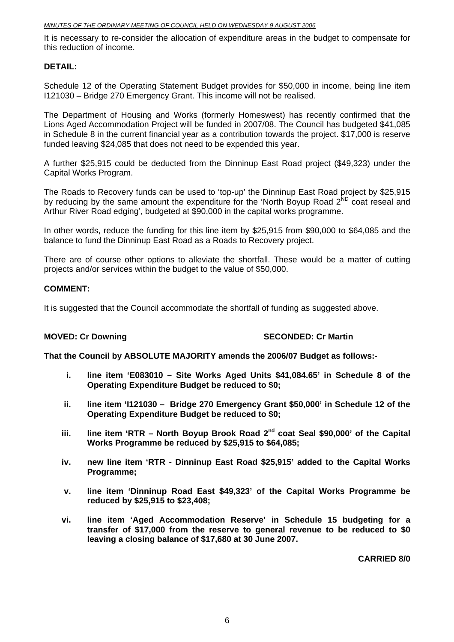It is necessary to re-consider the allocation of expenditure areas in the budget to compensate for this reduction of income.

#### **DETAIL:**

Schedule 12 of the Operating Statement Budget provides for \$50,000 in income, being line item I121030 – Bridge 270 Emergency Grant. This income will not be realised.

The Department of Housing and Works (formerly Homeswest) has recently confirmed that the Lions Aged Accommodation Project will be funded in 2007/08. The Council has budgeted \$41,085 in Schedule 8 in the current financial year as a contribution towards the project. \$17,000 is reserve funded leaving \$24,085 that does not need to be expended this year.

A further \$25,915 could be deducted from the Dinninup East Road project (\$49,323) under the Capital Works Program.

The Roads to Recovery funds can be used to 'top-up' the Dinninup East Road project by \$25,915 by reducing by the same amount the expenditure for the 'North Boyup Road 2<sup>ND</sup> coat reseal and Arthur River Road edging', budgeted at \$90,000 in the capital works programme.

In other words, reduce the funding for this line item by \$25,915 from \$90,000 to \$64,085 and the balance to fund the Dinninup East Road as a Roads to Recovery project.

There are of course other options to alleviate the shortfall. These would be a matter of cutting projects and/or services within the budget to the value of \$50,000.

#### **COMMENT:**

It is suggested that the Council accommodate the shortfall of funding as suggested above.

#### **MOVED: Cr Downing SECONDED: Cr Martin**

**That the Council by ABSOLUTE MAJORITY amends the 2006/07 Budget as follows:-** 

- **i. line item 'E083010 Site Works Aged Units \$41,084.65' in Schedule 8 of the Operating Expenditure Budget be reduced to \$0;**
- **ii. line item 'I121030 Bridge 270 Emergency Grant \$50,000' in Schedule 12 of the Operating Expenditure Budget be reduced to \$0;**
- iii. line item 'RTR North Boyup Brook Road 2<sup>nd</sup> coat Seal \$90,000' of the Capital **Works Programme be reduced by \$25,915 to \$64,085;**
- **iv. new line item 'RTR Dinninup East Road \$25,915' added to the Capital Works Programme;**
- **v. line item 'Dinninup Road East \$49,323' of the Capital Works Programme be reduced by \$25,915 to \$23,408;**
- **vi. line item 'Aged Accommodation Reserve' in Schedule 15 budgeting for a transfer of \$17,000 from the reserve to general revenue to be reduced to \$0 leaving a closing balance of \$17,680 at 30 June 2007.**

**CARRIED 8/0**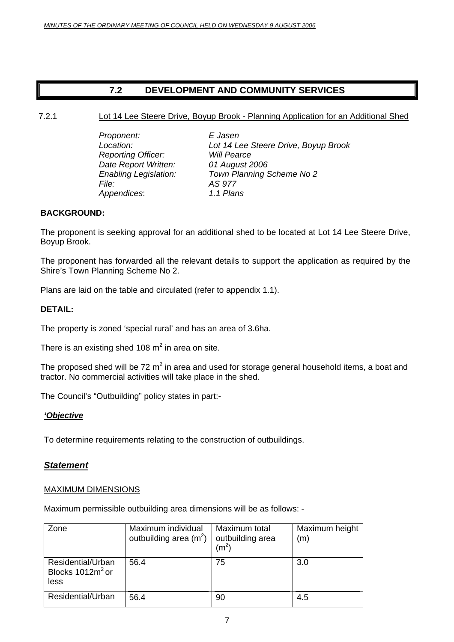### **7.2 DEVELOPMENT AND COMMUNITY SERVICES**

<span id="page-6-0"></span>7.2.1 Lot 14 Lee Steere Drive, Boyup Brook - Planning Application for an Additional Shed

 *Proponent: E Jasen Reporting Officer: Date Report Written: 01 August 2006 File: AS 977 Appendices*: *1.1 Plans* 

*Location: Lot 14 Lee Steere Drive, Boyup Brook Enabling Legislation: Town Planning Scheme No 2* 

#### **BACKGROUND:**

The proponent is seeking approval for an additional shed to be located at Lot 14 Lee Steere Drive, Boyup Brook.

The proponent has forwarded all the relevant details to support the application as required by the Shire's Town Planning Scheme No 2.

Plans are laid on the table and circulated (refer to appendix 1.1).

#### **DETAIL:**

The property is zoned 'special rural' and has an area of 3.6ha.

There is an existing shed 108  $m^2$  in area on site.

The proposed shed will be 72 m<sup>2</sup> in area and used for storage general household items, a boat and tractor. No commercial activities will take place in the shed.

The Council's "Outbuilding" policy states in part:-

#### *'Objective*

To determine requirements relating to the construction of outbuildings.

#### *Statement*

#### MAXIMUM DIMENSIONS

Maximum permissible outbuilding area dimensions will be as follows: -

| Zone                                             | Maximum individual<br>outbuilding area $(m^2)$ | Maximum total<br>outbuilding area<br>(m $^{2}$ | Maximum height<br>(m) |
|--------------------------------------------------|------------------------------------------------|------------------------------------------------|-----------------------|
| Residential/Urban<br>Blocks $1012m^2$ or<br>less | 56.4                                           | 75                                             | 3.0                   |
| Residential/Urban                                | 56.4                                           | 90                                             | 4.5                   |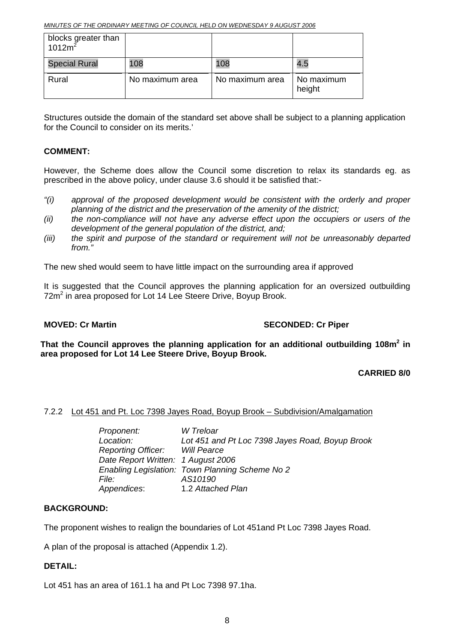<span id="page-7-0"></span>

| blocks greater than<br>1012 $m^2$ |                 |                 |                      |
|-----------------------------------|-----------------|-----------------|----------------------|
| <b>Special Rural</b>              | 108             | 108             | 4.5                  |
| Rural                             | No maximum area | No maximum area | No maximum<br>height |

Structures outside the domain of the standard set above shall be subject to a planning application for the Council to consider on its merits.'

#### **COMMENT:**

However, the Scheme does allow the Council some discretion to relax its standards eg. as prescribed in the above policy, under clause 3.6 should it be satisfied that:-

- *"(i) approval of the proposed development would be consistent with the orderly and proper planning of the district and the preservation of the amenity of the district;*
- *(ii) the non-compliance will not have any adverse effect upon the occupiers or users of the development of the general population of the district, and;*
- *(iii) the spirit and purpose of the standard or requirement will not be unreasonably departed from."*

The new shed would seem to have little impact on the surrounding area if approved

It is suggested that the Council approves the planning application for an oversized outbuilding 72m<sup>2</sup> in area proposed for Lot 14 Lee Steere Drive, Boyup Brook.

#### **MOVED: Cr Martin SECONDED: Cr Piper** SECONDED: Cr Piper

That the Council approves the planning application for an additional outbuilding 108m<sup>2</sup> in **area proposed for Lot 14 Lee Steere Drive, Boyup Brook.** 

#### **CARRIED 8/0**

#### 7.2.2 Lot 451 and Pt. Loc 7398 Jayes Road, Boyup Brook – Subdivision/Amalgamation

| Proponent:                         | W Treloar                                       |
|------------------------------------|-------------------------------------------------|
| Location:                          | Lot 451 and Pt Loc 7398 Jayes Road, Boyup Brook |
| Reporting Officer: Will Pearce     |                                                 |
| Date Report Written: 1 August 2006 |                                                 |
|                                    | Enabling Legislation: Town Planning Scheme No 2 |
| <i>File:</i>                       | AS10190                                         |
| Appendices:                        | 1.2 Attached Plan                               |

#### **BACKGROUND:**

The proponent wishes to realign the boundaries of Lot 451and Pt Loc 7398 Jayes Road.

A plan of the proposal is attached (Appendix 1.2).

#### **DETAIL:**

Lot 451 has an area of 161.1 ha and Pt Loc 7398 97.1ha.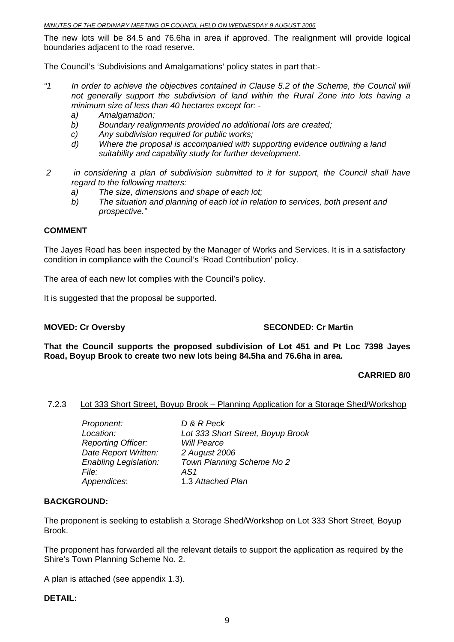<span id="page-8-0"></span>The new lots will be 84.5 and 76.6ha in area if approved. The realignment will provide logical boundaries adjacent to the road reserve.

The Council's 'Subdivisions and Amalgamations' policy states in part that:-

- *"1 In order to achieve the objectives contained in Clause 5.2 of the Scheme, the Council will not generally support the subdivision of land within the Rural Zone into lots having a minimum size of less than 40 hectares except for:* 
	- *a) Amalgamation;*
	- *b) Boundary realignments provided no additional lots are created;*
	- *c) Any subdivision required for public works;*
	- *d) Where the proposal is accompanied with supporting evidence outlining a land suitability and capability study for further development.*
- *2 in considering a plan of subdivision submitted to it for support, the Council shall have regard to the following matters:* 
	- *a) The size, dimensions and shape of each lot;*
	- *b) The situation and planning of each lot in relation to services, both present and prospective."*

#### **COMMENT**

The Jayes Road has been inspected by the Manager of Works and Services. It is in a satisfactory condition in compliance with the Council's 'Road Contribution' policy.

The area of each new lot complies with the Council's policy.

It is suggested that the proposal be supported.

#### **MOVED: Cr Oversby SECONDED: Cr Martin**

**That the Council supports the proposed subdivision of Lot 451 and Pt Loc 7398 Jayes Road, Boyup Brook to create two new lots being 84.5ha and 76.6ha in area.** 

#### **CARRIED 8/0**

#### 7.2.3 Lot 333 Short Street, Boyup Brook – Planning Application for a Storage Shed/Workshop

| Proponent:                   | D & R Peck                        |
|------------------------------|-----------------------------------|
| Location:                    | Lot 333 Short Street, Boyup Brook |
| <b>Reporting Officer:</b>    | <b>Will Pearce</b>                |
| Date Report Written:         | 2 August 2006                     |
| <b>Enabling Legislation:</b> | Town Planning Scheme No 2         |
| <i>File:</i>                 | AS <sub>1</sub>                   |
| Appendices:                  | 1.3 Attached Plan                 |
|                              |                                   |

#### **BACKGROUND:**

The proponent is seeking to establish a Storage Shed/Workshop on Lot 333 Short Street, Boyup Brook.

The proponent has forwarded all the relevant details to support the application as required by the Shire's Town Planning Scheme No. 2.

A plan is attached (see appendix 1.3).

#### **DETAIL:**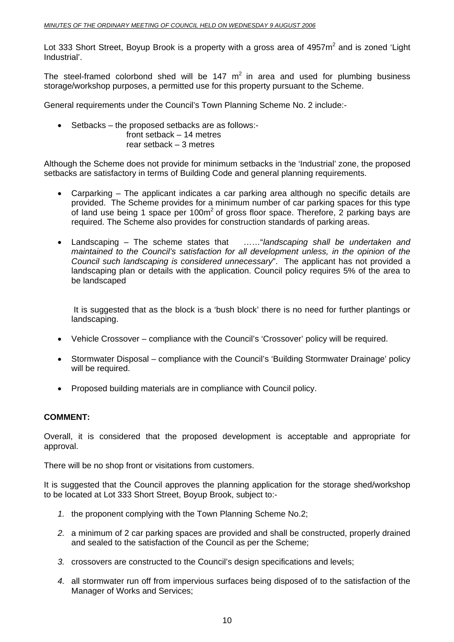Lot 333 Short Street, Boyup Brook is a property with a gross area of 4957 $m<sup>2</sup>$  and is zoned 'Light Industrial'.

The steel-framed colorbond shed will be 147  $m^2$  in area and used for plumbing business storage/workshop purposes, a permitted use for this property pursuant to the Scheme.

General requirements under the Council's Town Planning Scheme No. 2 include:-

- Setbacks the proposed setbacks are as follows:
	- front setback 14 metres rear setback – 3 metres

Although the Scheme does not provide for minimum setbacks in the 'Industrial' zone, the proposed setbacks are satisfactory in terms of Building Code and general planning requirements.

- Carparking The applicant indicates a car parking area although no specific details are provided. The Scheme provides for a minimum number of car parking spaces for this type of land use being 1 space per  $100m^2$  of gross floor space. Therefore, 2 parking bays are required. The Scheme also provides for construction standards of parking areas.
- Landscaping The scheme states that ……"*landscaping shall be undertaken and maintained to the Council's satisfaction for all development unless, in the opinion of the Council such landscaping is considered unnecessary*". The applicant has not provided a landscaping plan or details with the application. Council policy requires 5% of the area to be landscaped

It is suggested that as the block is a 'bush block' there is no need for further plantings or landscaping.

- Vehicle Crossover compliance with the Council's 'Crossover' policy will be required.
- Stormwater Disposal compliance with the Council's 'Building Stormwater Drainage' policy will be required.
- Proposed building materials are in compliance with Council policy.

#### **COMMENT:**

Overall, it is considered that the proposed development is acceptable and appropriate for approval.

There will be no shop front or visitations from customers.

It is suggested that the Council approves the planning application for the storage shed/workshop to be located at Lot 333 Short Street, Boyup Brook, subject to:-

- *1.* the proponent complying with the Town Planning Scheme No.2;
- *2.* a minimum of 2 car parking spaces are provided and shall be constructed, properly drained and sealed to the satisfaction of the Council as per the Scheme;
- *3.* crossovers are constructed to the Council's design specifications and levels;
- *4.* all stormwater run off from impervious surfaces being disposed of to the satisfaction of the Manager of Works and Services;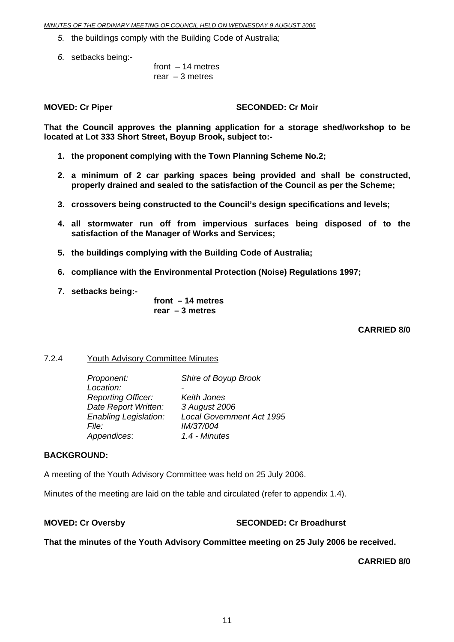- <span id="page-10-0"></span>*5.* the buildings comply with the Building Code of Australia;
- *6.* setbacks being:-

 front – 14 metres rear  $-3$  metres

**MOVED: Cr Piper SECONDED: Cr Moir** 

**That the Council approves the planning application for a storage shed/workshop to be located at Lot 333 Short Street, Boyup Brook, subject to:-** 

- **1. the proponent complying with the Town Planning Scheme No.2;**
- **2. a minimum of 2 car parking spaces being provided and shall be constructed, properly drained and sealed to the satisfaction of the Council as per the Scheme;**
- **3. crossovers being constructed to the Council's design specifications and levels;**
- **4. all stormwater run off from impervious surfaces being disposed of to the satisfaction of the Manager of Works and Services;**
- **5. the buildings complying with the Building Code of Australia;**
- **6. compliance with the Environmental Protection (Noise) Regulations 1997;**
- **7. setbacks being:-**

**front – 14 metres rear – 3 metres** 

#### **CARRIED 8/0**

#### 7.2.4 Youth Advisory Committee Minutes

| Proponent:                   | Shire of Boyup Brook             |
|------------------------------|----------------------------------|
| Location:                    |                                  |
| <b>Reporting Officer:</b>    | Keith Jones                      |
| Date Report Written:         | 3 August 2006                    |
| <b>Enabling Legislation:</b> | <b>Local Government Act 1995</b> |
| <i>File:</i>                 | IM/37/004                        |
| Appendices:                  | 1.4 - Minutes                    |

#### **BACKGROUND:**

A meeting of the Youth Advisory Committee was held on 25 July 2006.

Minutes of the meeting are laid on the table and circulated (refer to appendix 1.4).

#### **MOVED: Cr Oversby SECONDED: Cr Broadhurst**

#### **That the minutes of the Youth Advisory Committee meeting on 25 July 2006 be received.**

**CARRIED 8/0**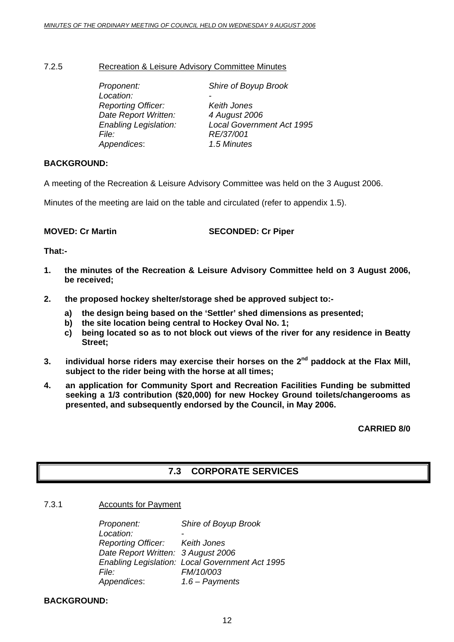<span id="page-11-0"></span>7.2.5 Recreation & Leisure Advisory Committee Minutes

| Proponent:                   | Shire of Boyup Brook             |
|------------------------------|----------------------------------|
| Location:                    |                                  |
| <b>Reporting Officer:</b>    | Keith Jones                      |
| Date Report Written:         | 4 August 2006                    |
| <b>Enabling Legislation:</b> | <b>Local Government Act 1995</b> |
| <i>File:</i>                 | RE/37/001                        |
| Appendices:                  | 1.5 Minutes                      |

#### **BACKGROUND:**

A meeting of the Recreation & Leisure Advisory Committee was held on the 3 August 2006.

Minutes of the meeting are laid on the table and circulated (refer to appendix 1.5).

**MOVED: Cr Martin SECONDED: Cr Piper** 

**That:-** 

- **1. the minutes of the Recreation & Leisure Advisory Committee held on 3 August 2006, be received;**
- **2. the proposed hockey shelter/storage shed be approved subject to:** 
	- **a) the design being based on the 'Settler' shed dimensions as presented;**
	- **b) the site location being central to Hockey Oval No. 1;**
	- **c) being located so as to not block out views of the river for any residence in Beatty Street;**
- **3. individual horse riders may exercise their horses on the 2nd paddock at the Flax Mill, subject to the rider being with the horse at all times;**
- **4. an application for Community Sport and Recreation Facilities Funding be submitted seeking a 1/3 contribution (\$20,000) for new Hockey Ground toilets/changerooms as presented, and subsequently endorsed by the Council, in May 2006.**

 **CARRIED 8/0** 

## **7.3 CORPORATE SERVICES**

7.3.1 Accounts for Payment

*Proponent: Shire of Boyup Brook Location: - Reporting Officer: Keith Jones Date Report Written: 3 August 2006 Enabling Legislation: Local Government Act 1995 File: FM/10/003 Appendices*: *1.6 – Payments* 

**BACKGROUND:**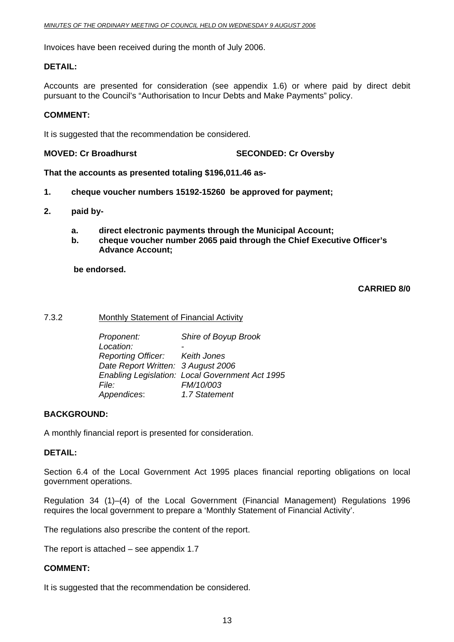<span id="page-12-0"></span>Invoices have been received during the month of July 2006.

#### **DETAIL:**

Accounts are presented for consideration (see appendix 1.6) or where paid by direct debit pursuant to the Council's "Authorisation to Incur Debts and Make Payments" policy.

#### **COMMENT:**

It is suggested that the recommendation be considered.

**MOVED: Cr Broadhurst SECONDED: Cr Oversby**

#### **That the accounts as presented totaling \$196,011.46 as-**

- **1. cheque voucher numbers 15192-15260 be approved for payment;**
- **2. paid by**
	- **a. direct electronic payments through the Municipal Account;**
	- **b. cheque voucher number 2065 paid through the Chief Executive Officer's Advance Account;**

 **be endorsed.** 

#### **CARRIED 8/0**

#### 7.3.2 Monthly Statement of Financial Activity

| Proponent:                         | Shire of Boyup Brook                            |
|------------------------------------|-------------------------------------------------|
| Location:                          |                                                 |
| Reporting Officer: Keith Jones     |                                                 |
| Date Report Written: 3 August 2006 |                                                 |
|                                    | Enabling Legislation: Local Government Act 1995 |
| File:                              | FM/10/003                                       |
| Appendices:                        | 1.7 Statement                                   |

#### **BACKGROUND:**

A monthly financial report is presented for consideration.

#### **DETAIL:**

Section 6.4 of the Local Government Act 1995 places financial reporting obligations on local government operations.

Regulation 34 (1)–(4) of the Local Government (Financial Management) Regulations 1996 requires the local government to prepare a 'Monthly Statement of Financial Activity'.

The regulations also prescribe the content of the report.

The report is attached – see appendix 1.7

#### **COMMENT:**

It is suggested that the recommendation be considered.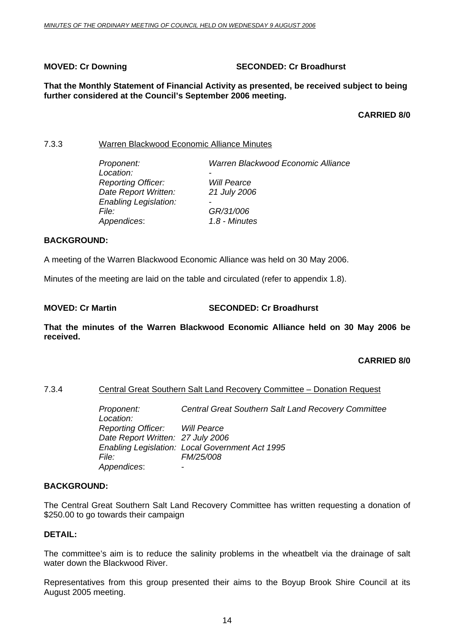#### <span id="page-13-0"></span>**MOVED: Cr Downing Case Conduct 2 SECONDED: Cr Broadhurst**

#### **That the Monthly Statement of Financial Activity as presented, be received subject to being further considered at the Council's September 2006 meeting.**

#### **CARRIED 8/0**

#### 7.3.3 Warren Blackwood Economic Alliance Minutes

| Proponent:                   | Warren Blackwood Economic Alliance |
|------------------------------|------------------------------------|
| Location:                    | -                                  |
| <b>Reporting Officer:</b>    | <b>Will Pearce</b>                 |
| Date Report Written:         | 21 July 2006                       |
| <b>Enabling Legislation:</b> | $\overline{\phantom{0}}$           |
| <i>File:</i>                 | GR/31/006                          |
| Appendices:                  | 1.8 - Minutes                      |
|                              |                                    |

#### **BACKGROUND:**

A meeting of the Warren Blackwood Economic Alliance was held on 30 May 2006.

Minutes of the meeting are laid on the table and circulated (refer to appendix 1.8).

#### **MOVED: Cr Martin SECONDED: Cr Broadhurst**

**That the minutes of the Warren Blackwood Economic Alliance held on 30 May 2006 be received.** 

#### **CARRIED 8/0**

#### 7.3.4 Central Great Southern Salt Land Recovery Committee – Donation Request

 *Proponent: Central Great Southern Salt Land Recovery Committee Location: Reporting Officer: Will Pearce Date Report Written: 27 July 2006 Enabling Legislation: Local Government Act 1995 File: FM/25/008 Appendices*: -

#### **BACKGROUND:**

The Central Great Southern Salt Land Recovery Committee has written requesting a donation of \$250.00 to go towards their campaign

#### **DETAIL:**

The committee's aim is to reduce the salinity problems in the wheatbelt via the drainage of salt water down the Blackwood River.

Representatives from this group presented their aims to the Boyup Brook Shire Council at its August 2005 meeting.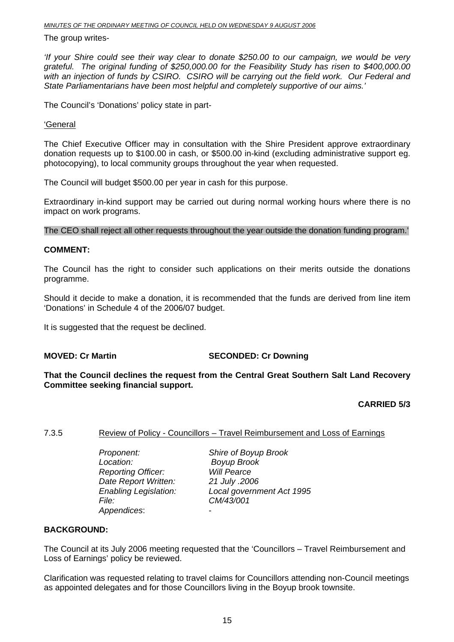#### <span id="page-14-0"></span>The group writes-

*'If your Shire could see their way clear to donate \$250.00 to our campaign, we would be very grateful. The original funding of \$250,000.00 for the Feasibility Study has risen to \$400,000.00 with an injection of funds by CSIRO. CSIRO will be carrying out the field work. Our Federal and State Parliamentarians have been most helpful and completely supportive of our aims.'*

The Council's 'Donations' policy state in part-

#### 'General

The Chief Executive Officer may in consultation with the Shire President approve extraordinary donation requests up to \$100.00 in cash, or \$500.00 in-kind (excluding administrative support eg. photocopying), to local community groups throughout the year when requested.

The Council will budget \$500.00 per year in cash for this purpose.

Extraordinary in-kind support may be carried out during normal working hours where there is no impact on work programs.

The CEO shall reject all other requests throughout the year outside the donation funding program.'

#### **COMMENT:**

The Council has the right to consider such applications on their merits outside the donations programme.

Should it decide to make a donation, it is recommended that the funds are derived from line item 'Donations' in Schedule 4 of the 2006/07 budget.

It is suggested that the request be declined.

#### **MOVED: Cr Martin SECONDED: Cr Downing**

**That the Council declines the request from the Central Great Southern Salt Land Recovery Committee seeking financial support.** 

#### **CARRIED 5/3**

#### 7.3.5 Review of Policy - Councillors – Travel Reimbursement and Loss of Earnings

 *Proponent: Shire of Boyup Brook Location: Boyup Brook Reporting Officer: Date Report Written: 21 July .2006 File: CM/43/001 Appendices*: -

*Enabling Legislation: Local government Act 1995* 

#### **BACKGROUND:**

The Council at its July 2006 meeting requested that the 'Councillors – Travel Reimbursement and Loss of Earnings' policy be reviewed.

Clarification was requested relating to travel claims for Councillors attending non-Council meetings as appointed delegates and for those Councillors living in the Boyup brook townsite.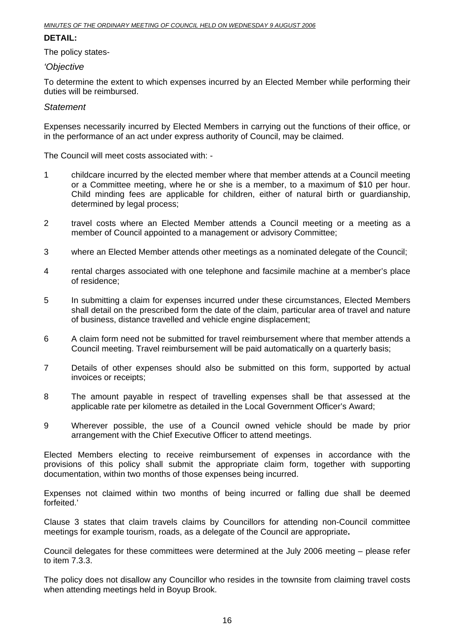#### **DETAIL:**

The policy states-

*'Objective* 

To determine the extent to which expenses incurred by an Elected Member while performing their duties will be reimbursed.

#### *Statement*

Expenses necessarily incurred by Elected Members in carrying out the functions of their office, or in the performance of an act under express authority of Council, may be claimed.

The Council will meet costs associated with: -

- 1 childcare incurred by the elected member where that member attends at a Council meeting or a Committee meeting, where he or she is a member, to a maximum of \$10 per hour. Child minding fees are applicable for children, either of natural birth or guardianship, determined by legal process;
- 2 travel costs where an Elected Member attends a Council meeting or a meeting as a member of Council appointed to a management or advisory Committee;
- 3 where an Elected Member attends other meetings as a nominated delegate of the Council;
- 4 rental charges associated with one telephone and facsimile machine at a member's place of residence;
- 5 In submitting a claim for expenses incurred under these circumstances, Elected Members shall detail on the prescribed form the date of the claim, particular area of travel and nature of business, distance travelled and vehicle engine displacement;
- 6 A claim form need not be submitted for travel reimbursement where that member attends a Council meeting. Travel reimbursement will be paid automatically on a quarterly basis;
- 7 Details of other expenses should also be submitted on this form, supported by actual invoices or receipts;
- 8 The amount payable in respect of travelling expenses shall be that assessed at the applicable rate per kilometre as detailed in the Local Government Officer's Award;
- 9 Wherever possible, the use of a Council owned vehicle should be made by prior arrangement with the Chief Executive Officer to attend meetings.

Elected Members electing to receive reimbursement of expenses in accordance with the provisions of this policy shall submit the appropriate claim form, together with supporting documentation, within two months of those expenses being incurred.

Expenses not claimed within two months of being incurred or falling due shall be deemed forfeited.'

Clause 3 states that claim travels claims by Councillors for attending non-Council committee meetings for example tourism, roads, as a delegate of the Council are appropriate**.** 

Council delegates for these committees were determined at the July 2006 meeting – please refer to item 7.3.3.

The policy does not disallow any Councillor who resides in the townsite from claiming travel costs when attending meetings held in Boyup Brook.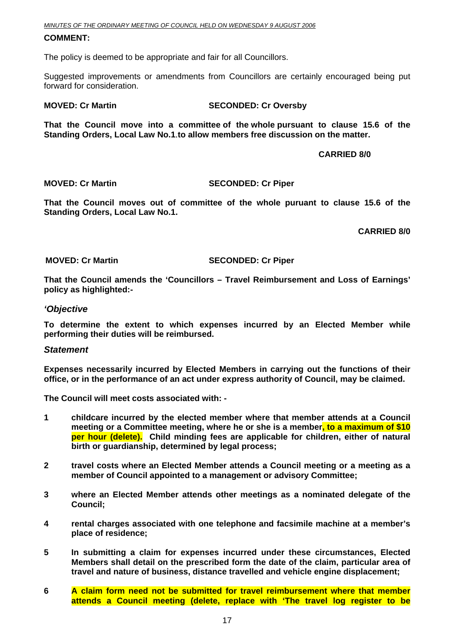#### **COMMENT:**

The policy is deemed to be appropriate and fair for all Councillors.

Suggested improvements or amendments from Councillors are certainly encouraged being put forward for consideration.

#### **MOVED: Cr Martin SECONDED: Cr Oversby**

**That the Council move into a committee of the whole pursuant to clause 15.6 of the Standing Orders, Local Law No.1**.**to allow members free discussion on the matter.** 

 **CARRIED 8/0** 

#### **MOVED: Cr Martin SECONDED: Cr Piper**

**That the Council moves out of committee of the whole puruant to clause 15.6 of the Standing Orders, Local Law No.1.** 

**CARRIED 8/0** 

**MOVED: Cr Martin SECONDED: Cr Piper** 

**That the Council amends the 'Councillors – Travel Reimbursement and Loss of Earnings' policy as highlighted:-** 

#### *'Objective*

**To determine the extent to which expenses incurred by an Elected Member while performing their duties will be reimbursed.** 

#### *Statement*

**Expenses necessarily incurred by Elected Members in carrying out the functions of their office, or in the performance of an act under express authority of Council, may be claimed.** 

**The Council will meet costs associated with: -** 

- **1 childcare incurred by the elected member where that member attends at a Council meeting or a Committee meeting, where he or she is a member, to a maximum of \$10 per hour (delete). Child minding fees are applicable for children, either of natural birth or guardianship, determined by legal process;**
- **2 travel costs where an Elected Member attends a Council meeting or a meeting as a member of Council appointed to a management or advisory Committee;**
- **3 where an Elected Member attends other meetings as a nominated delegate of the Council;**
- **4 rental charges associated with one telephone and facsimile machine at a member's place of residence;**
- **5 In submitting a claim for expenses incurred under these circumstances, Elected Members shall detail on the prescribed form the date of the claim, particular area of travel and nature of business, distance travelled and vehicle engine displacement;**
- **6 A claim form need not be submitted for travel reimbursement where that member attends a Council meeting (delete, replace with 'The travel log register to be**